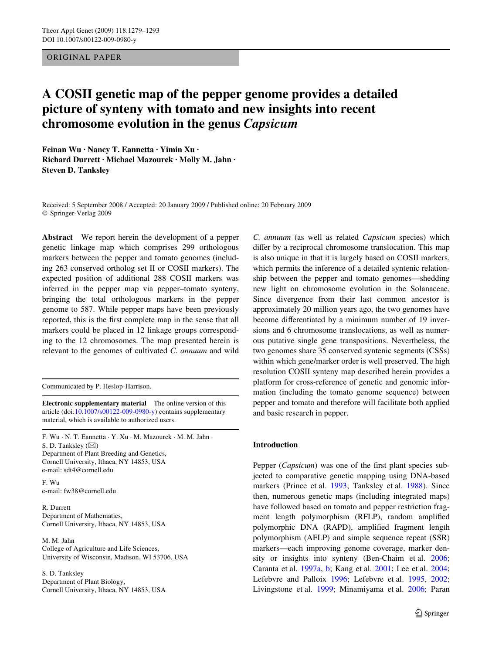#### ORIGINAL PAPER

# **A COSII genetic map of the pepper genome provides a detailed picture of synteny with tomato and new insights into recent chromosome evolution in the genus** *Capsicum*

**Feinan Wu · Nancy T. Eannetta · Yimin Xu · Richard Durrett · Michael Mazourek · Molly M. Jahn · Steven D. Tanksley** 

Received: 5 September 2008 / Accepted: 20 January 2009 / Published online: 20 February 2009 © Springer-Verlag 2009

**Abstract** We report herein the development of a pepper genetic linkage map which comprises 299 orthologous markers between the pepper and tomato genomes (including 263 conserved ortholog set II or COSII markers). The expected position of additional 288 COSII markers was inferred in the pepper map via pepper–tomato synteny, bringing the total orthologous markers in the pepper genome to 587. While pepper maps have been previously reported, this is the first complete map in the sense that all markers could be placed in 12 linkage groups corresponding to the 12 chromosomes. The map presented herein is relevant to the genomes of cultivated *C. annuum* and wild

Communicated by P. Heslop-Harrison.

**Electronic supplementary material** The online version of this article (doi[:10.1007/s00122-009-0980-y](http://dx.doi.org/10.1007/s00122-009-0980-y)) contains supplementary material, which is available to authorized users.

F. Wu · N. T. Eannetta · Y. Xu · M. Mazourek · M. M. Jahn · S. D. Tanksley (⊠) Department of Plant Breeding and Genetics,

Cornell University, Ithaca, NY 14853, USA e-mail: sdt4@cornell.edu F. Wu

e-mail: fw38@cornell.edu

R. Durrett Department of Mathematics, Cornell University, Ithaca, NY 14853, USA

M. M. Jahn College of Agriculture and Life Sciences, University of Wisconsin, Madison, WI 53706, USA

S. D. Tanksley Department of Plant Biology, Cornell University, Ithaca, NY 14853, USA *C. annuum* (as well as related *Capsicum* species) which differ by a reciprocal chromosome translocation. This map is also unique in that it is largely based on COSII markers, which permits the inference of a detailed syntenic relationship between the pepper and tomato genomes—shedding new light on chromosome evolution in the Solanaceae. Since divergence from their last common ancestor is approximately 20 million years ago, the two genomes have become differentiated by a minimum number of 19 inversions and 6 chromosome translocations, as well as numerous putative single gene transpositions. Nevertheless, the two genomes share 35 conserved syntenic segments (CSSs) within which gene/marker order is well preserved. The high resolution COSII synteny map described herein provides a platform for cross-reference of genetic and genomic information (including the tomato genome sequence) between pepper and tomato and therefore will facilitate both applied and basic research in pepper.

# **Introduction**

Pepper (*Capsicum*) was one of the first plant species subjected to comparative genetic mapping using DNA-based markers (Prince et al. [1993;](#page-14-0) Tanksley et al. [1988\)](#page-14-1). Since then, numerous genetic maps (including integrated maps) have followed based on tomato and pepper restriction fragment length polymorphism (RFLP), random amplified polymorphic DNA (RAPD), amplified fragment length polymorphism (AFLP) and simple sequence repeat (SSR) markers—each improving genome coverage, marker density or insights into synteny (Ben-Chaim et al. [2006;](#page-13-0) Caranta et al. [1997a](#page-13-1), [b](#page-13-2); Kang et al. [2001;](#page-13-3) Lee et al. [2004;](#page-14-2) Lefebvre and Palloix [1996](#page-14-3); Lefebvre et al. [1995,](#page-14-4) [2002;](#page-14-5) Livingstone et al. [1999](#page-14-6); Minamiyama et al. [2006;](#page-14-7) Paran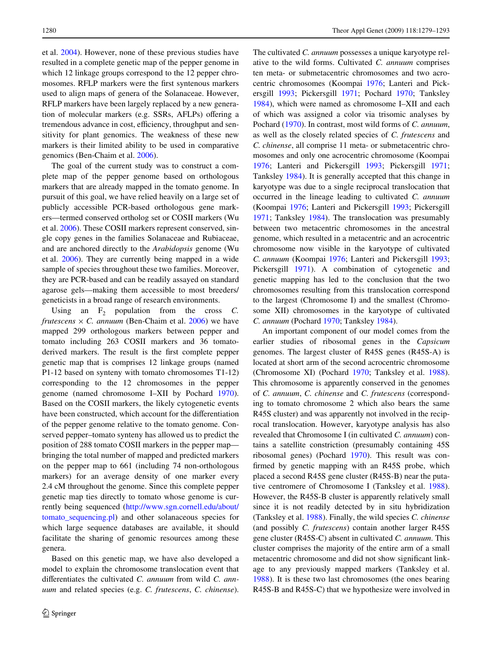et al. [2004](#page-14-8)). However, none of these previous studies have resulted in a complete genetic map of the pepper genome in which 12 linkage groups correspond to the 12 pepper chromosomes. RFLP markers were the first syntenous markers used to align maps of genera of the Solanaceae. However, RFLP markers have been largely replaced by a new generation of molecular markers (e.g. SSRs, AFLPs) offering a tremendous advance in cost, efficiency, throughput and sensitivity for plant genomics. The weakness of these new markers is their limited ability to be used in comparative genomics (Ben-Chaim et al. [2006\)](#page-13-0).

The goal of the current study was to construct a complete map of the pepper genome based on orthologous markers that are already mapped in the tomato genome. In pursuit of this goal, we have relied heavily on a large set of publicly accessible PCR-based orthologous gene markers—termed conserved ortholog set or COSII markers (Wu et al. [2006\)](#page-14-9). These COSII markers represent conserved, single copy genes in the families Solanaceae and Rubiaceae, and are anchored directly to the *Arabidopsis* genome (Wu et al. [2006\)](#page-14-9). They are currently being mapped in a wide sample of species throughout these two families. Moreover, they are PCR-based and can be readily assayed on standard agarose gels—making them accessible to most breeders/ geneticists in a broad range of research environments.

Using an  $F_2$  population from the cross  $C$ . *frutescens*  $\times$  *C. annuum* (Ben-Chaim et al. [2006](#page-13-0)) we have mapped 299 orthologous markers between pepper and tomato including 263 COSII markers and 36 tomatoderived markers. The result is the first complete pepper genetic map that is comprises 12 linkage groups (named P1-12 based on synteny with tomato chromosomes T1-12) corresponding to the 12 chromosomes in the pepper genome (named chromosome I–XII by Pochard [1970](#page-14-10)). Based on the COSII markers, the likely cytogenetic events have been constructed, which account for the differentiation of the pepper genome relative to the tomato genome. Conserved pepper–tomato synteny has allowed us to predict the position of 288 tomato COSII markers in the pepper map bringing the total number of mapped and predicted markers on the pepper map to 661 (including 74 non-orthologous markers) for an average density of one marker every 2.4 cM throughout the genome. Since this complete pepper genetic map ties directly to tomato whose genome is currently being sequenced [\(http://www.sgn.cornell.edu/about/](http://www.sgn.cornell.edu/about/tomato_sequencing.pl) [tomato\\_sequencing.pl](http://www.sgn.cornell.edu/about/tomato_sequencing.pl)) and other solanaceous species for which large sequence databases are available, it should facilitate the sharing of genomic resources among these genera.

Based on this genetic map, we have also developed a model to explain the chromosome translocation event that differentiates the cultivated *C. annuum* from wild *C. annuum* and related species (e.g. *C. frutescens*, *C. chinense*). The cultivated *C. annuum* possesses a unique karyotype relative to the wild forms. Cultivated *C. annuum* comprises ten meta- or submetacentric chromosomes and two acrocentric chromosomes (Koompai [1976](#page-13-4); Lanteri and Pickersgill [1993;](#page-14-11) Pickersgill [1971;](#page-14-12) Pochard [1970](#page-14-10); Tanksley [1984](#page-14-13)), which were named as chromosome I–XII and each of which was assigned a color via trisomic analyses by Pochard ([1970\)](#page-14-10). In contrast, most wild forms of *C. annuum*, as well as the closely related species of *C. frutescens* and *C. chinense*, all comprise 11 meta- or submetacentric chromosomes and only one acrocentric chromosome (Koompai [1976](#page-13-4); Lanteri and Pickersgill [1993](#page-14-11); Pickersgill [1971;](#page-14-12) Tanksley [1984\)](#page-14-13). It is generally accepted that this change in karyotype was due to a single reciprocal translocation that occurred in the lineage leading to cultivated *C. annuum* (Koompai [1976;](#page-13-4) Lanteri and Pickersgill [1993;](#page-14-11) Pickersgill [1971](#page-14-12); Tanksley [1984](#page-14-13)). The translocation was presumably between two metacentric chromosomes in the ancestral genome, which resulted in a metacentric and an acrocentric chromosome now visible in the karyotype of cultivated *C. annuum* (Koompai [1976;](#page-13-4) Lanteri and Pickersgill [1993;](#page-14-11) Pickersgill [1971](#page-14-12)). A combination of cytogenetic and genetic mapping has led to the conclusion that the two chromosomes resulting from this translocation correspond to the largest (Chromosome I) and the smallest (Chromosome XII) chromosomes in the karyotype of cultivated *C. annuum* (Pochard [1970](#page-14-10); Tanksley [1984\)](#page-14-13).

An important component of our model comes from the earlier studies of ribosomal genes in the *Capsicum* genomes. The largest cluster of R45S genes (R45S-A) is located at short arm of the second acrocentric chromosome (Chromosome XI) (Pochard [1970](#page-14-10); Tanksley et al. [1988](#page-14-1)). This chromosome is apparently conserved in the genomes of *C. annuum*, *C. chinense* and *C. frutescens* (corresponding to tomato chromosome 2 which also bears the same R45S cluster) and was apparently not involved in the reciprocal translocation. However, karyotype analysis has also revealed that Chromosome I (in cultivated *C. annuum*) contains a satellite constriction (presumably containing 45S ribosomal genes) (Pochard [1970](#page-14-10)). This result was confirmed by genetic mapping with an R45S probe, which placed a second R45S gene cluster (R45S-B) near the putative centromere of Chromosome I (Tanksley et al. [1988](#page-14-1)). However, the R45S-B cluster is apparently relatively small since it is not readily detected by in situ hybridization (Tanksley et al. [1988](#page-14-1)). Finally, the wild species *C. chinense* (and possibly *C. frutescens*) contain another larger R45S gene cluster (R45S-C) absent in cultivated *C. annuum*. This cluster comprises the majority of the entire arm of a small metacentric chromosome and did not show significant linkage to any previously mapped markers (Tanksley et al. [1988](#page-14-1)). It is these two last chromosomes (the ones bearing R45S-B and R45S-C) that we hypothesize were involved in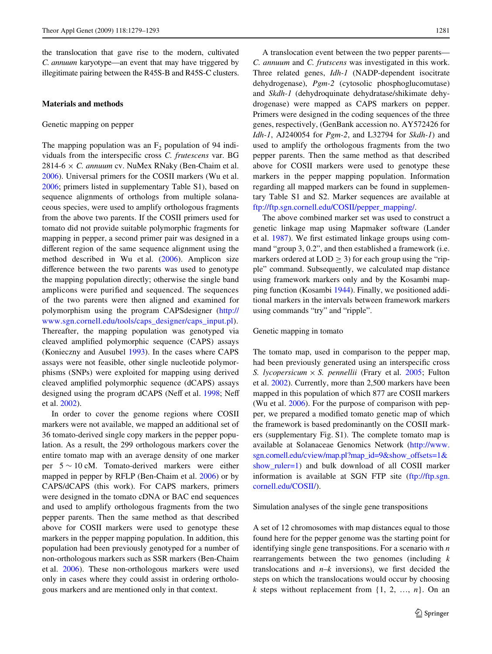the translocation that gave rise to the modern, cultivated *C. annuum* karyotype—an event that may have triggered by illegitimate pairing between the R45S-B and R45S-C clusters.

#### <span id="page-2-0"></span>**Materials and methods**

Genetic mapping on pepper

The mapping population was an  $F<sub>2</sub>$  population of 94 individuals from the interspecific cross *C. frutescens* var. BG 2814-6  $\times$  *C. annuum* cv. NuMex RNaky (Ben-Chaim et al. [2006](#page-13-0)). Universal primers for the COSII markers (Wu et al. [2006](#page-14-9); primers listed in supplementary Table S1), based on sequence alignments of orthologs from multiple solanaceous species, were used to amplify orthologous fragments from the above two parents. If the COSII primers used for tomato did not provide suitable polymorphic fragments for mapping in pepper, a second primer pair was designed in a different region of the same sequence alignment using the method described in Wu et al. [\(2006](#page-14-9)). Amplicon size difference between the two parents was used to genotype the mapping population directly; otherwise the single band amplicons were purified and sequenced. The sequences of the two parents were then aligned and examined for polymorphism using the program CAPSdesigner [\(http://](http://www.sgn.cornell.edu/tools/caps_designer/caps_input.pl) [www.sgn.cornell.edu/tools/caps\\_designer/caps\\_input.pl](http://www.sgn.cornell.edu/tools/caps_designer/caps_input.pl)). Thereafter, the mapping population was genotyped via cleaved amplified polymorphic sequence (CAPS) assays (Konieczny and Ausubel [1993](#page-13-5)). In the cases where CAPS assays were not feasible, other single nucleotide polymorphisms (SNPs) were exploited for mapping using derived cleaved amplified polymorphic sequence (dCAPS) assays designed using the program dCAPS (Neff et al. [1998](#page-14-14); Neff et al. [2002\)](#page-14-15).

In order to cover the genome regions where COSII markers were not available, we mapped an additional set of 36 tomato-derived single copy markers in the pepper population. As a result, the 299 orthologous markers cover the entire tomato map with an average density of one marker per  $5 \sim 10$  cM. Tomato-derived markers were either mapped in pepper by RFLP (Ben-Chaim et al. [2006](#page-13-0)) or by CAPS/dCAPS (this work). For CAPS markers, primers were designed in the tomato cDNA or BAC end sequences and used to amplify orthologous fragments from the two pepper parents. Then the same method as that described above for COSII markers were used to genotype these markers in the pepper mapping population. In addition, this population had been previously genotyped for a number of non-orthologous markers such as SSR markers (Ben-Chaim et al. [2006\)](#page-13-0). These non-orthologous markers were used only in cases where they could assist in ordering orthologous markers and are mentioned only in that context.

A translocation event between the two pepper parents— *C. annuum* and *C. frutscens* was investigated in this work. Three related genes, *Idh-1* (NADP-dependent isocitrate dehydrogenase), *Pgm-2* (cytosolic phosphoglucomutase) and *Skdh-1* (dehydroquinate dehydratase/shikimate dehydrogenase) were mapped as CAPS markers on pepper. Primers were designed in the coding sequences of the three genes, respectively, (GenBank accession no. AY572426 for *Idh-1*, AJ240054 for *Pgm-2*, and L32794 for *Skdh-1*) and used to amplify the orthologous fragments from the two pepper parents. Then the same method as that described above for COSII markers were used to genotype these markers in the pepper mapping population. Information regarding all mapped markers can be found in supplementary Table S1 and S2. Marker sequences are available at [ftp://ftp.sgn.cornell.edu/COSII/pepper\\_mapping/.](http://dx.doi.org/ftp://ftp.sgn.cornell.edu/COSII/pepper_mapping/)

The above combined marker set was used to construct a genetic linkage map using Mapmaker software (Lander et al. [1987\)](#page-13-6). We first estimated linkage groups using command "group 3, 0.2", and then established a framework (i.e. markers ordered at  $LOD > 3$ ) for each group using the "ripple" command. Subsequently, we calculated map distance using framework markers only and by the Kosambi mapping function (Kosambi [1944\)](#page-13-7). Finally, we positioned additional markers in the intervals between framework markers using commands "try" and "ripple".

#### Genetic mapping in tomato

The tomato map, used in comparison to the pepper map, had been previously generated using an interspecific cross *S. lycopersicum*  $\times$  *S. pennellii* (Frary et al. [2005;](#page-13-8) Fulton et al. [2002](#page-13-9)). Currently, more than 2,500 markers have been mapped in this population of which 877 are COSII markers (Wu et al. [2006](#page-14-9)). For the purpose of comparison with pepper, we prepared a modified tomato genetic map of which the framework is based predominantly on the COSII markers (supplementary Fig. S1). The complete tomato map is available at Solanaceae Genomics Network [\(http://www.](http://www.sgn.cornell.edu/cview/map.pl?map_id=9&show_offsets=1&show_ruler=1) [sgn.cornell.edu/cview/map.pl?map\\_id=9&show\\_offsets=1&](http://www.sgn.cornell.edu/cview/map.pl?map_id=9&show_offsets=1&show_ruler=1) [show\\_ruler=1\)](http://www.sgn.cornell.edu/cview/map.pl?map_id=9&show_offsets=1&show_ruler=1) and bulk download of all COSII marker information is available at SGN FTP site ([ftp://ftp.sgn.](http://dx.doi.org/ftp://ftp.sgn.cornell.edu/COSII/) [cornell.edu/COSII/\)](http://dx.doi.org/ftp://ftp.sgn.cornell.edu/COSII/).

#### Simulation analyses of the single gene transpositions

A set of 12 chromosomes with map distances equal to those found here for the pepper genome was the starting point for identifying single gene transpositions. For a scenario with *n* rearrangements between the two genomes (including *k* translocations and  $n-k$  inversions), we first decided the steps on which the translocations would occur by choosing  $k$  steps without replacement from  $\{1, 2, ..., n\}$ . On an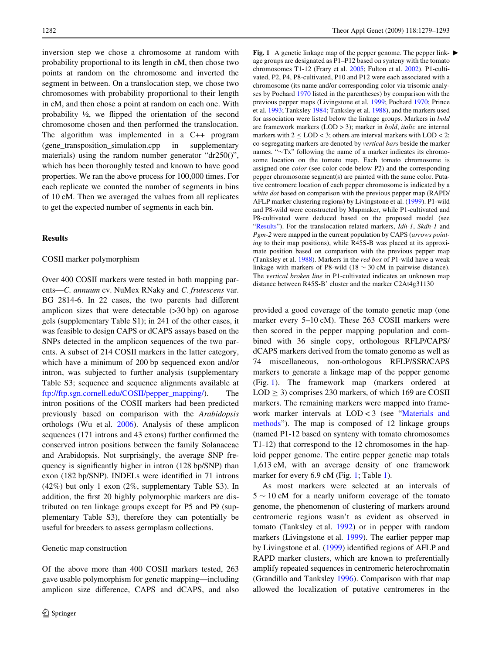inversion step we chose a chromosome at random with probability proportional to its length in cM, then chose two points at random on the chromosome and inverted the segment in between. On a translocation step, we chose two chromosomes with probability proportional to their length in cM, and then chose a point at random on each one. With probability  $\frac{1}{2}$ , we flipped the orientation of the second chromosome chosen and then performed the translocation. The algorithm was implemented in a C++ program (gene transposition simulation.cpp in supplementary materials) using the random number generator "dr250()", which has been thoroughly tested and known to have good properties. We ran the above process for 100,000 times. For each replicate we counted the number of segments in bins of 10 cM. Then we averaged the values from all replicates to get the expected number of segments in each bin.

# <span id="page-3-1"></span>**Results**

#### COSII marker polymorphism

Over 400 COSII markers were tested in both mapping parents—*C. annuum* cv. NuMex RNaky and *C. frutescens* var. BG 2814-6. In 22 cases, the two parents had different amplicon sizes that were detectable (>30 bp) on agarose gels (supplementary Table S1); in 241 of the other cases, it was feasible to design CAPS or dCAPS assays based on the SNPs detected in the amplicon sequences of the two parents. A subset of 214 COSII markers in the latter category, which have a minimum of 200 bp sequenced exon and/or intron, was subjected to further analysis (supplementary Table S3; sequence and sequence alignments available at [ftp://ftp.sgn.cornell.edu/COSII/pepper\\_mapping/\)](http://dx.doi.org/ftp://ftp.sgn.cornell.edu/COSII/pepper_mapping/). The intron positions of the COSII markers had been predicted previously based on comparison with the *Arabidopsis* orthologs (Wu et al. [2006\)](#page-14-9). Analysis of these amplicon sequences (171 introns and 43 exons) further confirmed the conserved intron positions between the family Solanaceae and Arabidopsis. Not surprisingly, the average SNP frequency is significantly higher in intron (128 bp/SNP) than exon (182 bp/SNP). INDELs were identified in 71 introns (42%) but only 1 exon (2%, supplementary Table S3). In addition, the first 20 highly polymorphic markers are distributed on ten linkage groups except for P5 and P9 (supplementary Table S3), therefore they can potentially be useful for breeders to assess germplasm collections.

#### Genetic map construction

Of the above more than 400 COSII markers tested, 263 gave usable polymorphism for genetic mapping—including amplicon size difference, CAPS and dCAPS, and also

<span id="page-3-0"></span>**Fig. 1** A genetic linkage map of the pepper genome. The pepper linkage groups are designated as P1–P12 based on synteny with the tomato chromosomes T1-12 (Frary et al. [2005](#page-13-8); Fulton et al. [2002\)](#page-13-9). P1-cultivated, P2, P4, P8-cultivated, P10 and P12 were each associated with a chromosome (its name and/or corresponding color via trisomic analyses by Pochard [1970](#page-14-10) listed in the parentheses) by comparison with the previous pepper maps (Livingstone et al. [1999;](#page-14-6) Pochard [1970;](#page-14-10) Prince et al. [1993](#page-14-0); Tanksley [1984](#page-14-13); Tanksley et al. [1988](#page-14-1)), and the markers used for association were listed below the linkage groups. Markers in *bold* are framework markers (LOD > 3); marker in *bold*, *italic* are internal markers with  $2 \leq LOD < 3$ ; others are interval markers with  $LOD < 2$ ; co-segregating markers are denoted by *vertical bars* beside the marker names. " $\sim$ Tx" following the name of a marker indicates its chromosome location on the tomato map. Each tomato chromosome is assigned one *color* (see color code below P2) and the corresponding pepper chromosome segment(s) are painted with the same color. Putative centromere location of each pepper chromosome is indicated by a *white dot* based on comparison with the previous pepper map (RAPD/ AFLP marker clustering regions) by Livingstone et al. ([1999\)](#page-14-6). P1-wild and P8-wild were constructed by Mapmaker, while P1-cultivated and P8-cultivated were deduced based on the proposed model (see "[Results"](#page-3-1)). For the translocation related markers, *Idh-1*, *Skdh-1* and *Pgm-2* were mapped in the current population by CAPS (*arrows pointing* to their map positions), while R45S-B was placed at its approximate position based on comparison with the previous pepper map (Tanksley et al. [1988\)](#page-14-1). Markers in the *red box* of P1-wild have a weak linkage with markers of P8-wild  $(18 \sim 30 \text{ cM})$  in pairwise distance). The *vertical broken line* in P1-cultivated indicates an unknown map distance between R45S-B' cluster and the marker C2At4g31130

provided a good coverage of the tomato genetic map (one marker every 5–10 cM). These 263 COSII markers were then scored in the pepper mapping population and combined with 36 single copy, orthologous RFLP/CAPS/ dCAPS markers derived from the tomato genome as well as 74 miscellaneous, non-orthologous RFLP/SSR/CAPS markers to generate a linkage map of the pepper genome (Fig. [1\)](#page-3-0). The framework map (markers ordered at  $LOD \geq 3$ ) comprises 230 markers, of which 169 are COSII markers. The remaining markers were mapped into framework marker intervals at LOD < 3 (see "[Materials and](#page-2-0) [methods](#page-2-0)"). The map is composed of 12 linkage groups (named P1-12 based on synteny with tomato chromosomes T1-12) that correspond to the 12 chromosomes in the haploid pepper genome. The entire pepper genetic map totals 1,613 cM, with an average density of one framework marker for every 6.9 cM (Fig. [1](#page-3-0); Table [1\)](#page-7-0).

As most markers were selected at an intervals of  $5 \sim 10$  cM for a nearly uniform coverage of the tomato genome, the phenomenon of clustering of markers around centromeric regions wasn't as evident as observed in tomato (Tanksley et al. [1992\)](#page-14-16) or in pepper with random markers (Livingstone et al*.* [1999](#page-14-6)). The earlier pepper map by Livingstone et al. [\(1999](#page-14-6)) identified regions of AFLP and RAPD marker clusters, which are known to preferentially amplify repeated sequences in centromeric heterochromatin (Grandillo and Tanksley [1996\)](#page-13-10). Comparison with that map allowed the localization of putative centromeres in the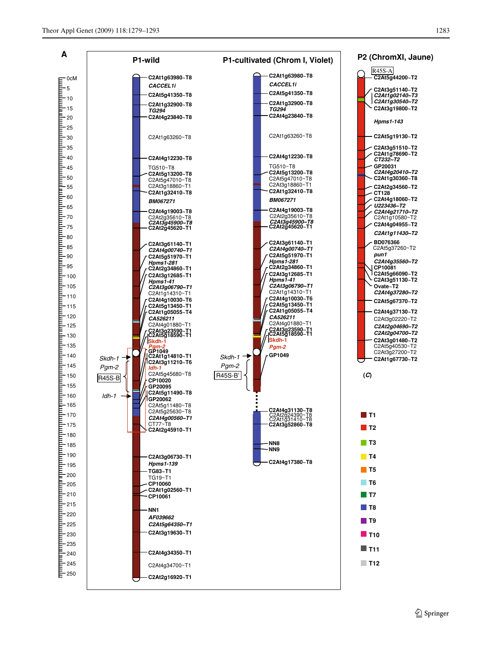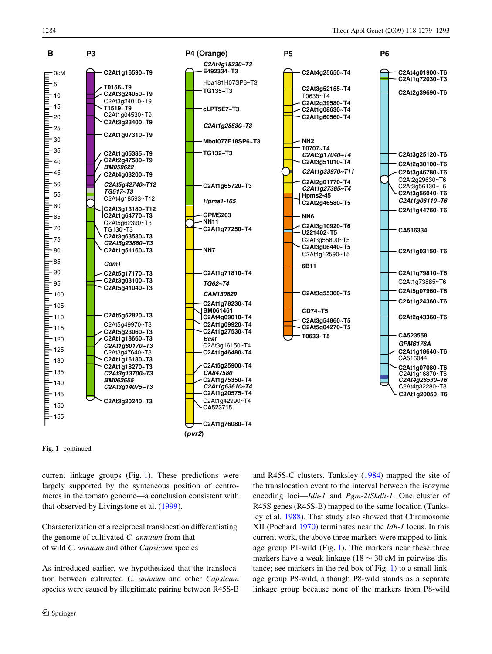

**Fig. 1** continued

current linkage groups (Fig. [1](#page-3-0)). These predictions were largely supported by the synteneous position of centromeres in the tomato genome—a conclusion consistent with that observed by Livingstone et al. [\(1999](#page-14-6)).

Characterization of a reciprocal translocation differentiating the genome of cultivated *C. annuum* from that of wild *C. annuum* and other *Capsicum* species

As introduced earlier, we hypothesized that the translocation between cultivated *C. annuum* and other *Capsicum* species were caused by illegitimate pairing between R45S-B and R45S-C clusters. Tanksley [\(1984](#page-14-13)) mapped the site of the translocation event to the interval between the isozyme encoding loci—*Idh-1* and *Pgm-2*/*Skdh-1*. One cluster of R45S genes (R45S-B) mapped to the same location (Tanksley et al. [1988](#page-14-1)). That study also showed that Chromosome XII (Pochard [1970\)](#page-14-10) terminates near the *Idh-1* locus. In this current work, the above three markers were mapped to linkage group P1-wild (Fig. [1](#page-3-0)). The markers near these three markers have a weak linkage (18  $\sim$  30 cM in pairwise distance; see markers in the red box of Fig. [1\)](#page-3-0) to a small linkage group P8-wild, although P8-wild stands as a separate linkage group because none of the markers from P8-wild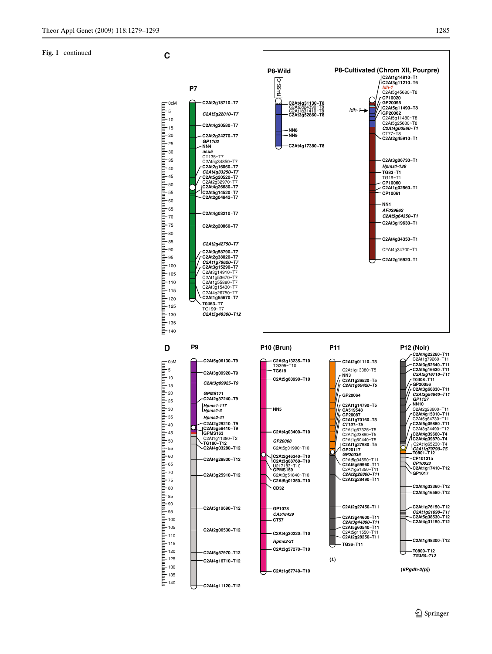#### **Fig. 1** continued

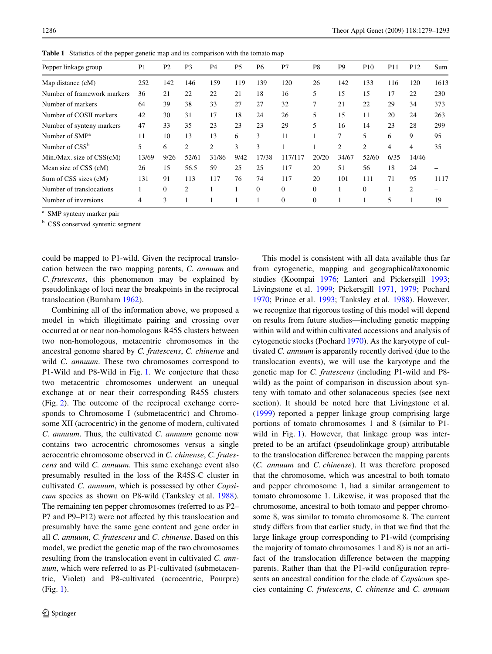| Pepper linkage group        | P <sub>1</sub> | P <sub>2</sub> | P <sub>3</sub> | P <sub>4</sub> | P <sub>5</sub> | P <sub>6</sub> | P7             | P <sub>8</sub> | P <sub>9</sub> | <b>P10</b>     | P <sub>11</sub> | P <sub>12</sub> | Sum  |
|-----------------------------|----------------|----------------|----------------|----------------|----------------|----------------|----------------|----------------|----------------|----------------|-----------------|-----------------|------|
| Map distance (cM)           | 252            | 142            | 146            | 159            | 119            | 139            | 120            | 26             | 142            | 133            | 116             | 120             | 1613 |
| Number of framework markers | 36             | 21             | 22             | 22             | 21             | 18             | 16             | 5              | 15             | 15             | 17              | 22              | 230  |
| Number of markers           | 64             | 39             | 38             | 33             | 27             | 27             | 32             | 7              | 21             | 22             | 29              | 34              | 373  |
| Number of COSII markers     | 42             | 30             | 31             | 17             | 18             | 24             | 26             | 5              | 15             | 11             | 20              | 24              | 263  |
| Number of synteny markers   | 47             | 33             | 35             | 23             | 23             | 23             | 29             |                | 16             | 14             | 23              | 28              | 299  |
| Number of SMP <sup>a</sup>  | 11             | 10             | 13             | 13             | 6              | 3              | 11             |                | 7              | 5              | 6               | 9               | 95   |
| Number of $CSS^b$           | 5.             | 6              | $\overline{c}$ | $\overline{c}$ | 3              | 3              |                |                | 2              | $\overline{c}$ | 4               | 4               | 35   |
| Min./Max. size of CSS(cM)   | 13/69          | 9/26           | 52/61          | 31/86          | 9/42           | 17/38          | 117/117        | 20/20          | 34/67          | 52/60          | 6/35            | 14/46           |      |
| Mean size of CSS (cM)       | 26             | 15             | 56.5           | 59             | 25             | 25             | 117            | 20             | 51             | 56             | 18              | 24              |      |
| Sum of CSS sizes (cM)       | 131            | 91             | 113            | 117            | 76             | 74             | 117            | 20             | 101            | 111            | 71              | 95              | 1117 |
| Number of translocations    |                | $\Omega$       | 2              |                |                | $\Omega$       | $\overline{0}$ | $\Omega$       |                | $\Omega$       |                 | 2               |      |
| Number of inversions        | 4              | 3              |                |                |                |                | $\Omega$       | $\Omega$       |                |                | 5               |                 | 19   |

<span id="page-7-0"></span>**Table 1** Statistics of the pepper genetic map and its comparison with the tomato map

<sup>a</sup> SMP synteny marker pair

<sup>b</sup> CSS conserved syntenic segment

could be mapped to P1-wild. Given the reciprocal translocation between the two mapping parents, *C. annuum* and *C. frutescens*, this phenomenon may be explained by pseudolinkage of loci near the breakpoints in the reciprocal translocation (Burnham [1962](#page-13-11)).

Combining all of the information above, we proposed a model in which illegitimate pairing and crossing over occurred at or near non-homologous R45S clusters between two non-homologous, metacentric chromosomes in the ancestral genome shared by *C. frutescens*, *C. chinense* and wild *C. annuum*. These two chromosomes correspond to P1-Wild and P8-Wild in Fig. [1.](#page-3-0) We conjecture that these two metacentric chromosomes underwent an unequal exchange at or near their corresponding R45S clusters (Fig. [2\)](#page-8-0). The outcome of the reciprocal exchange corresponds to Chromosome I (submetacentric) and Chromosome XII (acrocentric) in the genome of modern, cultivated *C. annuum*. Thus, the cultivated *C. annuum* genome now contains two acrocentric chromosomes versus a single acrocentric chromosome observed in *C. chinense*, *C. frutescens* and wild *C. annuum*. This same exchange event also presumably resulted in the loss of the R45S-C cluster in cultivated *C. annuum*, which is possessed by other *Capsicum* species as shown on P8-wild (Tanksley et al. [1988](#page-14-1)). The remaining ten pepper chromosomes (referred to as P2– P7 and P9–P12) were not affected by this translocation and presumably have the same gene content and gene order in all *C. annuum*, *C. frutescens* and *C. chinense*. Based on this model, we predict the genetic map of the two chromosomes resulting from the translocation event in cultivated *C. annuum*, which were referred to as P1-cultivated (submetacentric, Violet) and P8-cultivated (acrocentric, Pourpre) (Fig. [1\)](#page-3-0).

This model is consistent with all data available thus far from cytogenetic, mapping and geographical/taxonomic studies (Koompai [1976](#page-13-4); Lanteri and Pickersgill [1993;](#page-14-11) Livingstone et al. [1999](#page-14-6); Pickersgill [1971](#page-14-12), [1979](#page-14-17); Pochard [1970](#page-14-10); Prince et al. [1993](#page-14-0); Tanksley et al. [1988](#page-14-1)). However, we recognize that rigorous testing of this model will depend on results from future studies—including genetic mapping within wild and within cultivated accessions and analysis of cytogenetic stocks (Pochard [1970](#page-14-10)). As the karyotype of cultivated *C. annuum* is apparently recently derived (due to the translocation events), we will use the karyotype and the genetic map for *C. frutescens* (including P1-wild and P8 wild) as the point of comparison in discussion about synteny with tomato and other solanaceous species (see next section). It should be noted here that Livingstone et al. [\(1999\)](#page-14-6) reported a pepper linkage group comprising large portions of tomato chromosomes 1 and 8 (similar to P1- wild in Fig. [1\)](#page-3-0). However, that linkage group was interpreted to be an artifact (pseudolinkage group) attributable to the translocation difference between the mapping parents (*C. annuum* and *C. chinense*). It was therefore proposed that the chromosome, which was ancestral to both tomato and pepper chromosome 1, had a similar arrangement to tomato chromosome 1. Likewise, it was proposed that the chromosome, ancestral to both tomato and pepper chromosome 8, was similar to tomato chromosome 8. The current study differs from that earlier study, in that we find that the large linkage group corresponding to P1-wild (comprising the majority of tomato chromosomes 1 and 8) is not an artifact of the translocation difference between the mapping parents. Rather than that the P1-wild configuration represents an ancestral condition for the clade of *Capsicum* species containing *C. frutescens*, *C. chinense* and *C. annuum*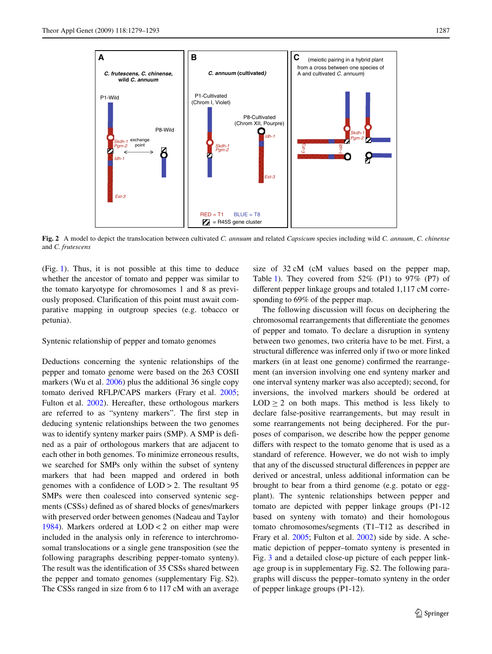

<span id="page-8-0"></span>**Fig. 2** A model to depict the translocation between cultivated *C. annuum* and related *Capsicum* species including wild *C. annuum*, *C. chinense* and *C. frutescens*

(Fig. [1\)](#page-3-0). Thus, it is not possible at this time to deduce whether the ancestor of tomato and pepper was similar to the tomato karyotype for chromosomes 1 and 8 as previously proposed. Clarification of this point must await comparative mapping in outgroup species (e.g. tobacco or petunia).

Syntenic relationship of pepper and tomato genomes

Deductions concerning the syntenic relationships of the pepper and tomato genome were based on the 263 COSII markers (Wu et al. [2006](#page-14-9)) plus the additional 36 single copy tomato derived RFLP/CAPS markers (Frary et al. [2005](#page-13-8); Fulton et al. [2002](#page-13-9)). Hereafter, these orthologous markers are referred to as "synteny markers". The first step in deducing syntenic relationships between the two genomes was to identify synteny marker pairs (SMP). A SMP is defined as a pair of orthologous markers that are adjacent to each other in both genomes. To minimize erroneous results, we searched for SMPs only within the subset of synteny markers that had been mapped and ordered in both genomes with a confidence of  $LOD > 2$ . The resultant 95 SMPs were then coalesced into conserved syntenic segments (CSSs) defined as of shared blocks of genes/markers with preserved order between genomes (Nadeau and Taylor [1984](#page-14-18)). Markers ordered at LOD < 2 on either map were included in the analysis only in reference to interchromosomal translocations or a single gene transposition (see the following paragraphs describing pepper-tomato synteny). The result was the identification of 35 CSSs shared between the pepper and tomato genomes (supplementary Fig. S2). The CSSs ranged in size from 6 to 117 cM with an average size of 32 cM (cM values based on the pepper map, Table [1](#page-7-0)). They covered from  $52\%$  (P1) to  $97\%$  (P7) of different pepper linkage groups and totaled  $1,117$  cM corresponding to 69% of the pepper map.

The following discussion will focus on deciphering the chromosomal rearrangements that differentiate the genomes of pepper and tomato. To declare a disruption in synteny between two genomes, two criteria have to be met. First, a structural difference was inferred only if two or more linked markers (in at least one genome) confirmed the rearrangement (an inversion involving one end synteny marker and one interval synteny marker was also accepted); second, for inversions, the involved markers should be ordered at  $LOD > 2$  on both maps. This method is less likely to declare false-positive rearrangements, but may result in some rearrangements not being deciphered. For the purposes of comparison, we describe how the pepper genome differs with respect to the tomato genome that is used as a standard of reference. However, we do not wish to imply that any of the discussed structural differences in pepper are derived or ancestral, unless additional information can be brought to bear from a third genome (e.g. potato or eggplant). The syntenic relationships between pepper and tomato are depicted with pepper linkage groups (P1-12 based on synteny with tomato) and their homologous tomato chromosomes/segments (T1–T12 as described in Frary et al. [2005;](#page-13-8) Fulton et al. [2002\)](#page-13-9) side by side. A schematic depiction of pepper–tomato synteny is presented in Fig. [3](#page-9-0) and a detailed close-up picture of each pepper linkage group is in supplementary Fig. S2. The following paragraphs will discuss the pepper–tomato synteny in the order of pepper linkage groups (P1-12).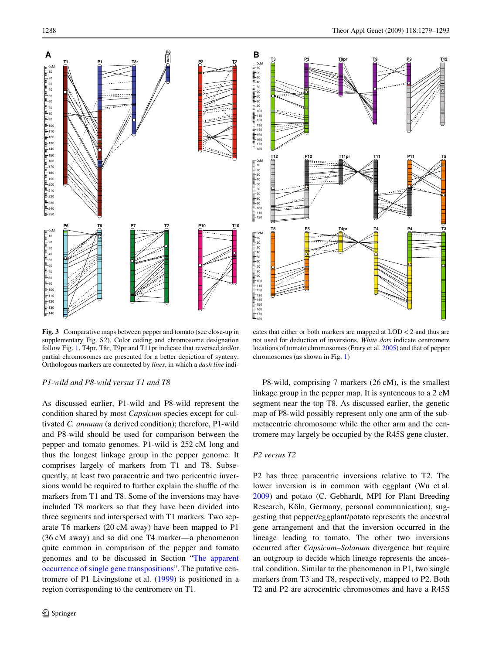**T3 P3 T9pr T9 P9 T12**



<span id="page-9-0"></span>**Fig. 3** Comparative maps between pepper and tomato (see close-up in supplementary Fig. S2). Color coding and chromosome designation follow Fig. [1](#page-3-0). T4pr, T8r, T9pr and T11pr indicate that reversed and/or partial chromosomes are presented for a better depiction of synteny. Orthologous markers are connected by *lines*, in which a *dash line* indi-

#### *P1-wild and P8-wild versus T1 and T8*

As discussed earlier, P1-wild and P8-wild represent the condition shared by most *Capsicum* species except for cultivated *C. annuum* (a derived condition); therefore, P1-wild and P8-wild should be used for comparison between the pepper and tomato genomes. P1-wild is 252 cM long and thus the longest linkage group in the pepper genome. It comprises largely of markers from T1 and T8. Subsequently, at least two paracentric and two pericentric inversions would be required to further explain the shuffle of the markers from T1 and T8. Some of the inversions may have included T8 markers so that they have been divided into three segments and interspersed with T1 markers. Two separate T6 markers (20 cM away) have been mapped to P1 (36 cM away) and so did one T4 marker—a phenomenon quite common in comparison of the pepper and tomato genomes and to be discussed in Section ["The apparent](#page-12-0) [occurrence of single gene transpositions](#page-12-0)". The putative centromere of P1 Livingstone et al. [\(1999](#page-14-6)) is positioned in a region corresponding to the centromere on T1.



cates that either or both markers are mapped at LOD < 2 and thus are not used for deduction of inversions. *White dots* indicate centromere locations of tomato chromosomes (Frary et al. [2005\)](#page-13-8) and that of pepper chromosomes (as shown in Fig. [1](#page-3-0))

P8-wild, comprising 7 markers (26 cM), is the smallest linkage group in the pepper map. It is synteneous to a 2 cM segment near the top T8. As discussed earlier, the genetic map of P8-wild possibly represent only one arm of the submetacentric chromosome while the other arm and the centromere may largely be occupied by the R45S gene cluster.

## *P2 versus T2*

180

0cM 10

P2 has three paracentric inversions relative to T2. The lower inversion is in common with eggplant (Wu et al. [2009](#page-14-19)) and potato (C. Gebhardt, MPI for Plant Breeding Research, Köln, Germany, personal communication), suggesting that pepper/eggplant/potato represents the ancestral gene arrangement and that the inversion occurred in the lineage leading to tomato. The other two inversions occurred after *Capsicum*–*Solanum* divergence but require an outgroup to decide which lineage represents the ancestral condition. Similar to the phenomenon in P1, two single markers from T3 and T8, respectively, mapped to P2. Both T2 and P2 are acrocentric chromosomes and have a R45S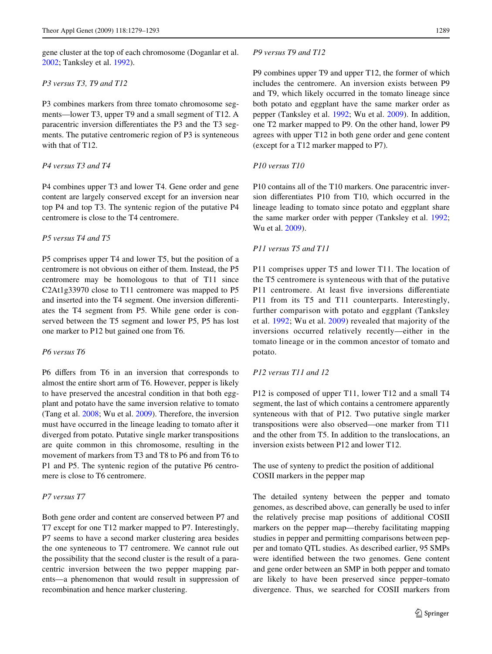gene cluster at the top of each chromosome (Doganlar et al. [2002](#page-13-12); Tanksley et al. [1992](#page-14-16)).

#### *P3 versus T3, T9 and T12*

P3 combines markers from three tomato chromosome segments—lower T3, upper T9 and a small segment of T12. A paracentric inversion differentiates the P3 and the T3 segments. The putative centromeric region of P3 is synteneous with that of T12.

# *P4 versus T3 and T4*

P4 combines upper T3 and lower T4. Gene order and gene content are largely conserved except for an inversion near top P4 and top T3. The syntenic region of the putative P4 centromere is close to the T4 centromere.

# *P5 versus T4 and T5*

P5 comprises upper T4 and lower T5, but the position of a centromere is not obvious on either of them. Instead, the P5 centromere may be homologous to that of T11 since C2At1g33970 close to T11 centromere was mapped to P5 and inserted into the T4 segment. One inversion differentiates the T4 segment from P5. While gene order is conserved between the T5 segment and lower P5, P5 has lost one marker to P12 but gained one from T6.

# *P6 versus T6*

P6 differs from T6 in an inversion that corresponds to almost the entire short arm of T6. However, pepper is likely to have preserved the ancestral condition in that both eggplant and potato have the same inversion relative to tomato (Tang et al. [2008;](#page-14-20) Wu et al. [2009](#page-14-19)). Therefore, the inversion must have occurred in the lineage leading to tomato after it diverged from potato. Putative single marker transpositions are quite common in this chromosome, resulting in the movement of markers from T3 and T8 to P6 and from T6 to P1 and P5. The syntenic region of the putative P6 centromere is close to T6 centromere.

#### *P7 versus T7*

Both gene order and content are conserved between P7 and T7 except for one T12 marker mapped to P7. Interestingly, P7 seems to have a second marker clustering area besides the one synteneous to T7 centromere. We cannot rule out the possibility that the second cluster is the result of a paracentric inversion between the two pepper mapping parents—a phenomenon that would result in suppression of recombination and hence marker clustering.

## *P9 versus T9 and T12*

P9 combines upper T9 and upper T12, the former of which includes the centromere. An inversion exists between P9 and T9, which likely occurred in the tomato lineage since both potato and eggplant have the same marker order as pepper (Tanksley et al. [1992](#page-14-16); Wu et al. [2009\)](#page-14-19). In addition, one T2 marker mapped to P9. On the other hand, lower P9 agrees with upper T12 in both gene order and gene content (except for a T12 marker mapped to P7).

# *P10 versus T10*

P10 contains all of the T10 markers. One paracentric inversion differentiates P10 from T10, which occurred in the lineage leading to tomato since potato and eggplant share the same marker order with pepper (Tanksley et al. [1992;](#page-14-16) Wu et al. [2009](#page-14-19)).

# *P11 versus T5 and T11*

P11 comprises upper T5 and lower T11. The location of the T5 centromere is synteneous with that of the putative P11 centromere. At least five inversions differentiate P11 from its T5 and T11 counterparts. Interestingly, further comparison with potato and eggplant (Tanksley et al. [1992](#page-14-16); Wu et al. [2009](#page-14-19)) revealed that majority of the inversions occurred relatively recently—either in the tomato lineage or in the common ancestor of tomato and potato.

#### *P12 versus T11 and 12*

P12 is composed of upper T11, lower T12 and a small T4 segment, the last of which contains a centromere apparently synteneous with that of P12. Two putative single marker transpositions were also observed—one marker from T11 and the other from T5. In addition to the translocations, an inversion exists between P12 and lower T12.

The use of synteny to predict the position of additional COSII markers in the pepper map

The detailed synteny between the pepper and tomato genomes, as described above, can generally be used to infer the relatively precise map positions of additional COSII markers on the pepper map—thereby facilitating mapping studies in pepper and permitting comparisons between pepper and tomato QTL studies. As described earlier, 95 SMPs were identified between the two genomes. Gene content and gene order between an SMP in both pepper and tomato are likely to have been preserved since pepper–tomato divergence. Thus, we searched for COSII markers from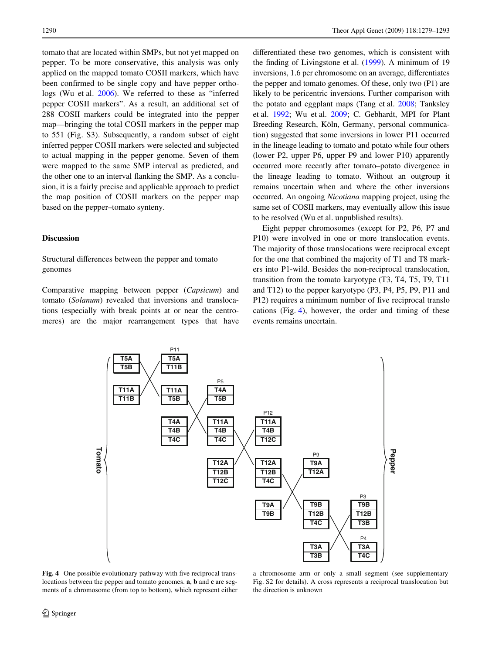tomato that are located within SMPs, but not yet mapped on pepper. To be more conservative, this analysis was only applied on the mapped tomato COSII markers, which have been confirmed to be single copy and have pepper orthologs (Wu et al. [2006](#page-14-9)). We referred to these as "inferred pepper COSII markers". As a result, an additional set of 288 COSII markers could be integrated into the pepper map—bringing the total COSII markers in the pepper map to 551 (Fig. S3). Subsequently, a random subset of eight inferred pepper COSII markers were selected and subjected to actual mapping in the pepper genome. Seven of them were mapped to the same SMP interval as predicted, and the other one to an interval flanking the SMP. As a conclusion, it is a fairly precise and applicable approach to predict the map position of COSII markers on the pepper map based on the pepper–tomato synteny.

# **Discussion**

# Structural differences between the pepper and tomato genomes

Comparative mapping between pepper (*Capsicum*) and tomato (*Solanum*) revealed that inversions and translocations (especially with break points at or near the centromeres) are the major rearrangement types that have differentiated these two genomes, which is consistent with the finding of Livingstone et al.  $(1999)$  $(1999)$ . A minimum of 19 inversions, 1.6 per chromosome on an average, differentiates the pepper and tomato genomes. Of these, only two (P1) are likely to be pericentric inversions. Further comparison with the potato and eggplant maps (Tang et al. [2008](#page-14-20); Tanksley et al. [1992;](#page-14-16) Wu et al. [2009](#page-14-19); C. Gebhardt, MPI for Plant Breeding Research, Köln, Germany, personal communication) suggested that some inversions in lower P11 occurred in the lineage leading to tomato and potato while four others (lower P2, upper P6, upper P9 and lower P10) apparently occurred more recently after tomato–potato divergence in the lineage leading to tomato. Without an outgroup it remains uncertain when and where the other inversions occurred. An ongoing *Nicotiana* mapping project, using the same set of COSII markers, may eventually allow this issue to be resolved (Wu et al. unpublished results).

Eight pepper chromosomes (except for P2, P6, P7 and P10) were involved in one or more translocation events. The majority of those translocations were reciprocal except for the one that combined the majority of T1 and T8 markers into P1-wild. Besides the non-reciprocal translocation, transition from the tomato karyotype (T3, T4, T5, T9, T11 and T12) to the pepper karyotype (P3, P4, P5, P9, P11 and P12) requires a minimum number of five reciprocal translo cations (Fig. [4\)](#page-11-0), however, the order and timing of these events remains uncertain.



<span id="page-11-0"></span>Fig. 4 One possible evolutionary pathway with five reciprocal translocations between the pepper and tomato genomes. **a**, **b** and **c** are segments of a chromosome (from top to bottom), which represent either

a chromosome arm or only a small segment (see supplementary Fig. S2 for details). A cross represents a reciprocal translocation but the direction is unknown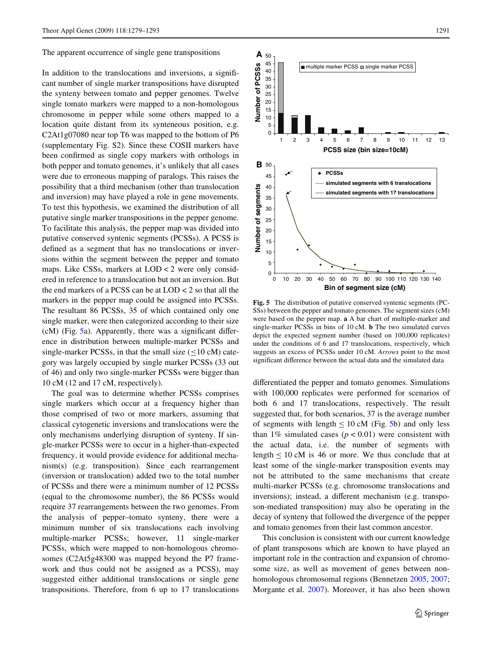<span id="page-12-0"></span>The apparent occurrence of single gene transpositions

In addition to the translocations and inversions, a significant number of single marker transpositions have disrupted the synteny between tomato and pepper genomes. Twelve single tomato markers were mapped to a non-homologous chromosome in pepper while some others mapped to a location quite distant from its synteneous position, e.g. C2At1g07080 near top T6 was mapped to the bottom of P6 (supplementary Fig. S2). Since these COSII markers have been confirmed as single copy markers with orthologs in both pepper and tomato genomes, it's unlikely that all cases were due to erroneous mapping of paralogs. This raises the possibility that a third mechanism (other than translocation and inversion) may have played a role in gene movements. To test this hypothesis, we examined the distribution of all putative single marker transpositions in the pepper genome. To facilitate this analysis, the pepper map was divided into putative conserved syntenic segments (PCSSs). A PCSS is defined as a segment that has no translocations or inversions within the segment between the pepper and tomato maps. Like CSSs, markers at LOD < 2 were only considered in reference to a translocation but not an inversion. But the end markers of a PCSS can be at LOD < 2 so that all the markers in the pepper map could be assigned into PCSSs. The resultant 86 PCSSs, 35 of which contained only one single marker, were then categorized according to their size  $(cM)$  (Fig. [5a](#page-12-1)). Apparently, there was a significant difference in distribution between multiple-marker PCSSs and single-marker PCSSs, in that the small size  $(\leq 10 \text{ cM})$  category was largely occupied by single marker PCSSs (33 out of 46) and only two single-marker PCSSs were bigger than 10 cM (12 and 17 cM, respectively).

The goal was to determine whether PCSSs comprises single markers which occur at a frequency higher than those comprised of two or more markers, assuming that classical cytogenetic inversions and translocations were the only mechanisms underlying disruption of synteny. If single-marker PCSSs were to occur in a higher-than-expected frequency, it would provide evidence for additional mechanism(s) (e.g. transposition). Since each rearrangement (inversion or translocation) added two to the total number of PCSSs and there were a minimum number of 12 PCSSs (equal to the chromosome number), the 86 PCSSs would require 37 rearrangements between the two genomes. From the analysis of pepper–tomato synteny, there were a minimum number of six translocations each involving multiple-marker PCSSs; however, 11 single-marker PCSSs, which were mapped to non-homologous chromosomes (C2At5g48300 was mapped beyond the P7 framework and thus could not be assigned as a PCSS), may suggested either additional translocations or single gene transpositions. Therefore, from 6 up to 17 translocations



<span id="page-12-1"></span>**Fig. 5** The distribution of putative conserved syntenic segments (PC-SSs) between the pepper and tomato genomes. The segment sizes (cM) were based on the pepper map. **a** A bar chart of multiple-marker and single-marker PCSSs in bins of 10 cM. **b** The two simulated curves depict the expected segment number (based on 100,000 replicates) under the conditions of 6 and 17 translocations, respectively, which suggests an excess of PCSSs under 10 cM. *Arrows* point to the most significant difference between the actual data and the simulated data

differentiated the pepper and tomato genomes. Simulations with 100,000 replicates were performed for scenarios of both 6 and 17 translocations, respectively. The result suggested that, for both scenarios, 37 is the average number of segments with length  $\leq 10$  cM (Fig. [5](#page-12-1)b) and only less than 1% simulated cases  $(p < 0.01)$  were consistent with the actual data, i.e. the number of segments with length  $\leq 10$  cM is 46 or more. We thus conclude that at least some of the single-marker transposition events may not be attributed to the same mechanisms that create multi-marker PCSSs (e.g. chromosome translocations and inversions); instead, a different mechanism (e.g. transposon-mediated transposition) may also be operating in the decay of synteny that followed the divergence of the pepper and tomato genomes from their last common ancestor.

This conclusion is consistent with our current knowledge of plant transposons which are known to have played an important role in the contraction and expansion of chromosome size, as well as movement of genes between nonhomologous chromosomal regions (Bennetzen [2005](#page-13-13), [2007;](#page-13-14) Morgante et al. [2007\)](#page-14-21). Moreover, it has also been shown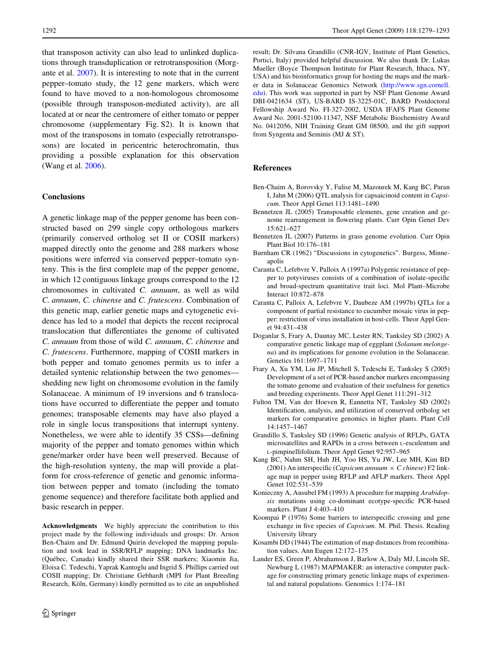that transposon activity can also lead to unlinked duplications through transduplication or retrotransposition (Morgante et al. [2007](#page-14-21)). It is interesting to note that in the current pepper–tomato study, the 12 gene markers, which were found to have moved to a non-homologous chromosome (possible through transposon-mediated activity), are all located at or near the centromere of either tomato or pepper chromosome (supplementary Fig. S2). It is known that most of the transposons in tomato (especially retrotransposons) are located in pericentric heterochromatin, thus providing a possible explanation for this observation (Wang et al. [2006\)](#page-14-22).

## **Conclusions**

A genetic linkage map of the pepper genome has been constructed based on 299 single copy orthologous markers (primarily conserved ortholog set II or COSII markers) mapped directly onto the genome and 288 markers whose positions were inferred via conserved pepper–tomato synteny. This is the first complete map of the pepper genome, in which 12 contiguous linkage groups correspond to the 12 chromosomes in cultivated *C. annuum*, as well as wild *C. annuum*, *C. chinense* and *C. frutescens*. Combination of this genetic map, earlier genetic maps and cytogenetic evidence has led to a model that depicts the recent reciprocal translocation that differentiates the genome of cultivated *C. annuum* from those of wild *C. annuum*, *C. chinense* and *C. frutescens*. Furthermore, mapping of COSII markers in both pepper and tomato genomes permits us to infer a detailed syntenic relationship between the two genomes shedding new light on chromosome evolution in the family Solanaceae. A minimum of 19 inversions and 6 translocations have occurred to differentiate the pepper and tomato genomes; transposable elements may have also played a role in single locus transpositions that interrupt synteny. Nonetheless, we were able to identify 35 CSSs—defining majority of the pepper and tomato genomes within which gene/marker order have been well preserved. Because of the high-resolution synteny, the map will provide a platform for cross-reference of genetic and genomic information between pepper and tomato (including the tomato genome sequence) and therefore facilitate both applied and basic research in pepper.

**Acknowledgments** We highly appreciate the contribution to this project made by the following individuals and groups: Dr. Arnon Ben-Chaim and Dr. Edmund Quirin developed the mapping population and took lead in SSR/RFLP mapping; DNA landmarks Inc. (Québec, Canada) kindly shared their SSR markers; Xiaomin Jia, Eloisa C. Tedeschi, Yaprak Kantoglu and Ingrid S. Phillips carried out COSII mapping; Dr. Christiane Gebhardt (MPI for Plant Breeding Research, Köln, Germany) kindly permitted us to cite an unpublished result; Dr. Silvana Grandillo (CNR-IGV, Institute of Plant Genetics, Portici, Italy) provided helpful discussion. We also thank Dr. Lukas Mueller (Boyce Thompson Institute for Plant Research, Ithaca, NY, USA) and his bioinformatics group for hosting the maps and the marker data in Solanaceae Genomics Network ([http://www.sgn.cornell.](http://www.sgn.cornell.edu) [edu](http://www.sgn.cornell.edu)). This work was supported in part by NSF Plant Genome Award DBI-0421634 (ST), US-BARD IS-3225-01C, BARD Postdoctoral Fellowship Award No. FI-327-2002, USDA IFAFS Plant Genome Award No. 2001-52100-11347, NSF Metabolic Biochemistry Award No. 0412056, NIH Training Grant GM 08500, and the gift support from Syngenta and Seminis (MJ & ST).

## **References**

- <span id="page-13-0"></span>Ben-Chaim A, Borovsky Y, Falise M, Mazourek M, Kang BC, Paran I, Jahn M (2006) QTL analysis for capsaicinoid content in *Capsicum*. Theor Appl Genet 113:1481–1490
- <span id="page-13-13"></span>Bennetzen JL (2005) Transposable elements, gene creation and genome rearrangement in flowering plants. Curr Opin Genet Dev 15:621–627
- <span id="page-13-14"></span>Bennetzen JL (2007) Patterns in grass genome evolution. Curr Opin Plant Biol 10:176–181
- <span id="page-13-11"></span>Burnham CR (1962) "Discussions in cytogenetics". Burgess, Minneapolis
- <span id="page-13-1"></span>Caranta C, Lefebvre V, Palloix A (1997a) Polygenic resistance of pepper to potyviruses consists of a combination of isolate-specific and broad-spectrum quantitative trait loci. Mol Plant–Microbe Interact 10:872–878
- <span id="page-13-2"></span>Caranta C, Palloix A, Lefebvre V, Daubeze AM (1997b) QTLs for a component of partial resistance to cucumber mosaic virus in pepper: restriction of virus installation in host-cells. Theor Appl Genet 94:431–438
- <span id="page-13-12"></span>Doganlar S, Frary A, Daunay MC, Lester RN, Tanksley SD (2002) A comparative genetic linkage map of eggplant (*Solanum melongena*) and its implications for genome evolution in the Solanaceae. Genetics 161:1697–1711
- <span id="page-13-8"></span>Frary A, Xu YM, Liu JP, Mitchell S, Tedeschi E, Tanksley S (2005) Development of a set of PCR-based anchor markers encompassing the tomato genome and evaluation of their usefulness for genetics and breeding experiments. Theor Appl Genet 111:291–312
- <span id="page-13-9"></span>Fulton TM, Van der Hoeven R, Eannetta NT, Tanksley SD (2002) Identification, analysis, and utilization of conserved ortholog set markers for comparative genomics in higher plants. Plant Cell 14:1457–1467
- <span id="page-13-10"></span>Grandillo S, Tanksley SD (1996) Genetic analysis of RFLPs, GATA microsatellites and RAPDs in a cross between L-esculentum and L-pimpinellifolium. Theor Appl Genet 92:957–965
- <span id="page-13-3"></span>Kang BC, Nahm SH, Huh JH, Yoo HS, Yu JW, Lee MH, Kim BD (2001) An interspecific (*Capsicum annuum*  $\times$  *C chinese*) F2 linkage map in pepper using RFLP and AFLP markers. Theor Appl Genet 102:531–539
- <span id="page-13-5"></span>Konieczny A, Ausubel FM (1993) A procedure for mapping *Arabidop* $sis$  mutations using co-dominant ecotype-specific PCR-based markers. Plant J 4:403–410
- <span id="page-13-4"></span>Koompai P (1976) Some barriers to interspecific crossing and gene exchange in five species of *Capsicum*. M. Phil. Thesis. Reading University library
- <span id="page-13-7"></span>Kosambi DD (1944) The estimation of map distances from recombination values. Ann Eugen 12:172–175
- <span id="page-13-6"></span>Lander ES, Green P, Abrahamson J, Barlow A, Daly MJ, Lincoln SE, Newburg L (1987) MAPMAKER: an interactive computer package for constructing primary genetic linkage maps of experimental and natural populations. Genomics 1:174–181